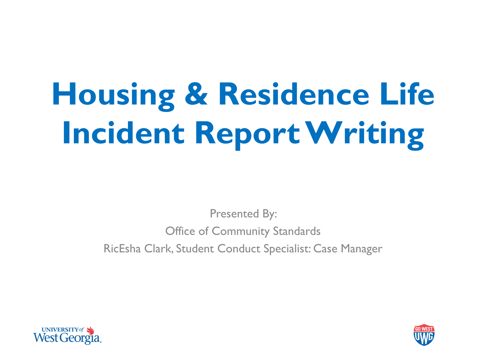# **Housing & Residence Life Incident Report Writing**

Presented By: Office of Community Standards RicEsha Clark, Student Conduct Specialist: Case Manager



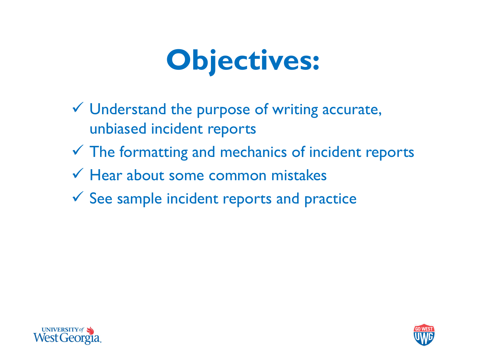## **Objectives:**

- $\checkmark$  Understand the purpose of writing accurate, unbiased incident reports
- $\checkmark$  The formatting and mechanics of incident reports
- $\checkmark$  Hear about some common mistakes
- $\checkmark$  See sample incident reports and practice



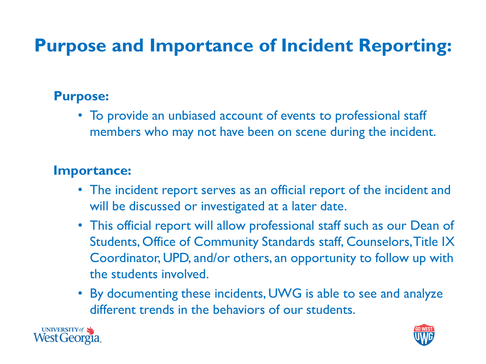#### **Purpose and Importance of Incident Reporting:**

#### **Purpose:**

• To provide an unbiased account of events to professional staff members who may not have been on scene during the incident.

#### **Importance:**

- The incident report serves as an official report of the incident and will be discussed or investigated at a later date.
- This official report will allow professional staff such as our Dean of Students, Office of Community Standards staff, Counselors, Title IX Coordinator, UPD, and/or others, an opportunity to follow up with the students involved.
- By documenting these incidents, UWG is able to see and analyze different trends in the behaviors of our students.



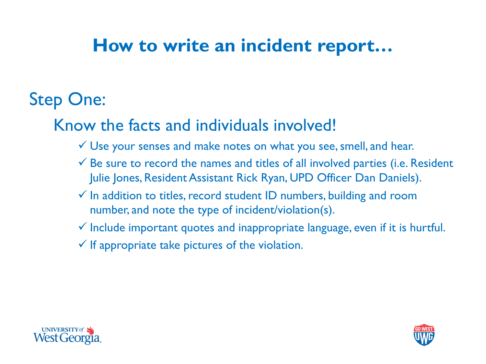### Step One:

#### Know the facts and individuals involved!

- Use your senses and make notes on what you see, smell, and hear.
- $\checkmark$  Be sure to record the names and titles of all involved parties (i.e. Resident Julie Jones, Resident Assistant Rick Ryan, UPD Officer Dan Daniels).
- $\checkmark$  In addition to titles, record student ID numbers, building and room number, and note the type of incident/violation(s).
- $\checkmark$  Include important quotes and inappropriate language, even if it is hurtful.
- $\checkmark$  If appropriate take pictures of the violation.



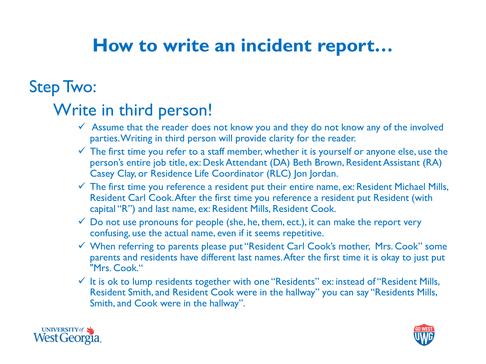#### Step Two:

#### Write in third person!

- $\checkmark$  Assume that the reader does not know you and they do not know any of the involved parties. Writing in third person will provide clarity for the reader.
- $\checkmark$  The first time you refer to a staff member, whether it is yourself or anyone else, use the person's entire job title, ex: Desk Attendant (DA) Beth Brown, Resident Assistant (RA) Casey Clay, or Residence Life Coordinator (RLC) Jon Jordan.
- $\checkmark$  The first time you reference a resident put their entire name, ex: Resident Michael Mills, Resident Carl Cook. After the first time you reference a resident put Resident (with capital "R") and last name, ex: Resident Mills, Resident Cook.
- $\checkmark$  Do not use pronouns for people (she, he, them, ect.), it can make the report very confusing, use the actual name, even if it seems repetitive.
- When referring to parents please put "Resident Carl Cook's mother, Mrs. Cook" some parents and residents have different last names. After the first time it is okay to just put "Mrs. Cook."
- $\checkmark$  It is ok to lump residents together with one "Residents" ex: instead of "Resident Mills, Resident Smith, and Resident Cook were in the hallway" you can say "Residents Mills, Smith, and Cook were in the hallway".



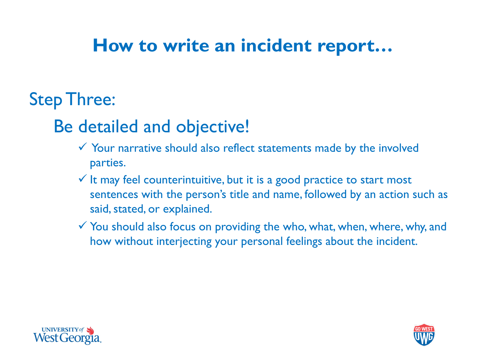#### Step Three:

#### Be detailed and objective!

- $\checkmark$  Your narrative should also reflect statements made by the involved parties.
- $\checkmark$  It may feel counterintuitive, but it is a good practice to start most sentences with the person's title and name, followed by an action such as said, stated, or explained.
- $\checkmark$  You should also focus on providing the who, what, when, where, why, and how without interjecting your personal feelings about the incident.



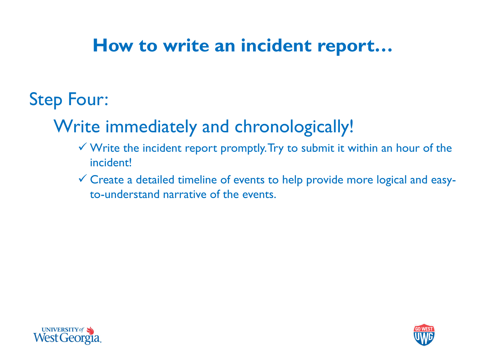### Step Four:

#### Write immediately and chronologically!

- $\checkmark$  Write the incident report promptly. Try to submit it within an hour of the incident!
- Create a detailed timeline of events to help provide more logical and easyto-understand narrative of the events.



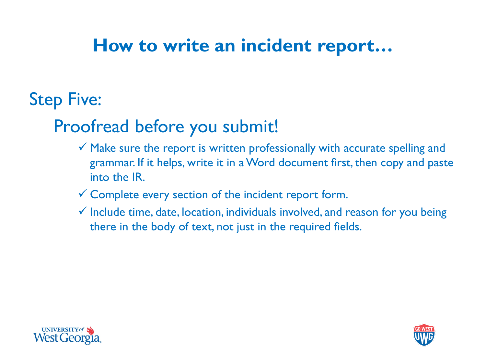#### Step Five:

#### Proofread before you submit!

- $\checkmark$  Make sure the report is written professionally with accurate spelling and grammar. If it helps, write it in a Word document first, then copy and paste into the IR.
- $\checkmark$  Complete every section of the incident report form.
- $\checkmark$  Include time, date, location, individuals involved, and reason for you being there in the body of text, not just in the required fields.



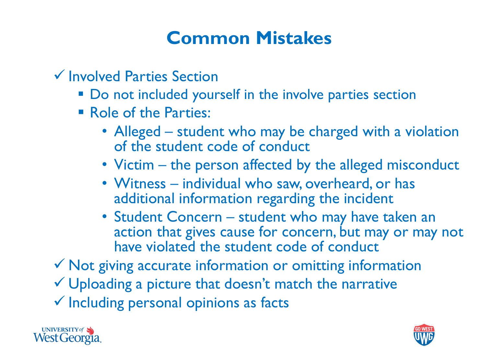#### **Common Mistakes**

 $\checkmark$  Involved Parties Section

- Do not included yourself in the involve parties section
- **Role of the Parties:** 
	- Alleged student who may be charged with a violation of the student code of conduct
	- Victim the person affected by the alleged misconduct
	- Witness individual who saw, overheard, or has additional information regarding the incident
	- Student Concern student who may have taken an action that gives cause for concern, but may or may not have violated the student code of conduct

 $\checkmark$  Not giving accurate information or omitting information

Uploading a picture that doesn't match the narrative

 $\checkmark$  Including personal opinions as facts



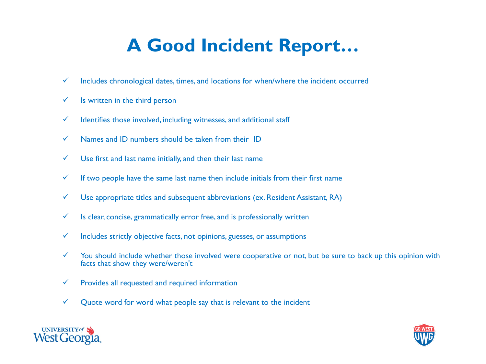#### **A Good Incident Report…**

- $\checkmark$  Includes chronological dates, times, and locations for when/where the incident occurred
- $\checkmark$  Is written in the third person
- $\checkmark$  Identifies those involved, including witnesses, and additional staff
- $\checkmark$  Names and ID numbers should be taken from their ID
- $\checkmark$  Use first and last name initially, and then their last name
- $\checkmark$  If two people have the same last name then include initials from their first name
- $\checkmark$  Use appropriate titles and subsequent abbreviations (ex. Resident Assistant, RA)
- $\checkmark$  Is clear, concise, grammatically error free, and is professionally written
- $\checkmark$  Includes strictly objective facts, not opinions, guesses, or assumptions
- $\checkmark$  You should include whether those involved were cooperative or not, but be sure to back up this opinion with facts that show they were/weren't
- $\checkmark$  Provides all requested and required information
- $\checkmark$  Quote word for word what people say that is relevant to the incident



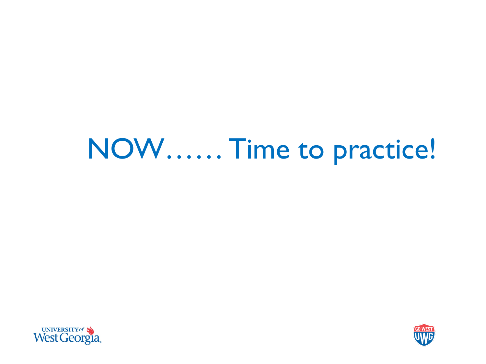## NOW…… Time to practice!



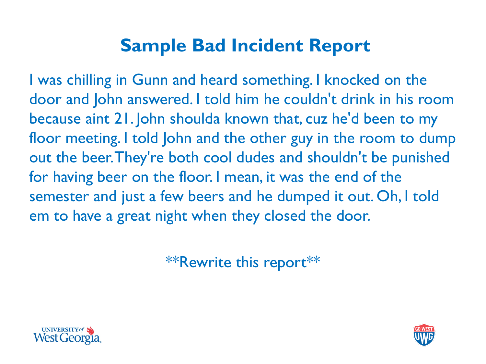#### **Sample Bad Incident Report**

I was chilling in Gunn and heard something. I knocked on the door and John answered. I told him he couldn't drink in his room because aint 21. John shoulda known that, cuz he'd been to my floor meeting. I told John and the other guy in the room to dump out the beer. They're both cool dudes and shouldn't be punished for having beer on the floor. I mean, it was the end of the semester and just a few beers and he dumped it out. Oh, I told em to have a great night when they closed the door.

\*\*Rewrite this report\*\*



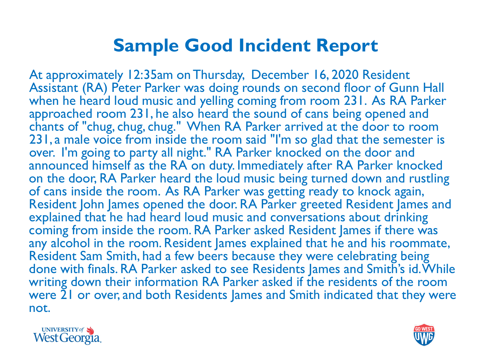#### **Sample Good Incident Report**

At approximately 12:35am on Thursday, December 16, 2020 Resident Assistant (RA) Peter Parker was doing rounds on second floor of Gunn Hall when he heard loud music and yelling coming from room 231. As RA Parker approached room 231, he also heard the sound of cans being opened and chants of "chug, chug, chug." When RA Parker arrived at the door to room 231, a male voice from inside the room said "I'm so glad that the semester is over. I'm going to party all night." RA Parker knocked on the door and announced himself as the RA on duty. Immediately after RA Parker knocked on the door, RA Parker heard the loud music being turned down and rustling of cans inside the room. As RA Parker was getting ready to knock again, Resident John James opened the door. RA Parker greeted Resident James and explained that he had heard loud music and conversations about drinking coming from inside the room. RA Parker asked Resident James if there was any alcohol in the room. Resident James explained that he and his roommate, Resident Sam Smith, had a few beers because they were celebrating being done with finals. RA Parker asked to see Residents James and Smith's id. While writing down their information RA Parker asked if the residents of the room were 21 or over, and both Residents James and Smith indicated that they were not.



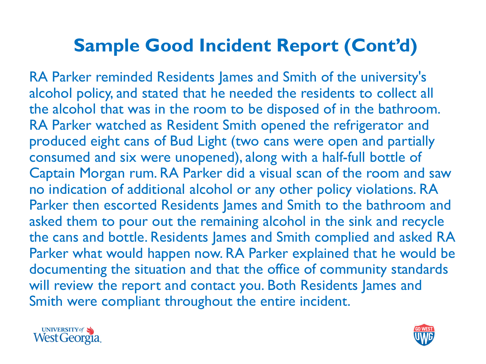#### **Sample Good Incident Report (Cont'd)**

RA Parker reminded Residents James and Smith of the university's alcohol policy, and stated that he needed the residents to collect all the alcohol that was in the room to be disposed of in the bathroom. RA Parker watched as Resident Smith opened the refrigerator and produced eight cans of Bud Light (two cans were open and partially consumed and six were unopened), along with a half-full bottle of Captain Morgan rum. RA Parker did a visual scan of the room and saw no indication of additional alcohol or any other policy violations. RA Parker then escorted Residents James and Smith to the bathroom and asked them to pour out the remaining alcohol in the sink and recycle the cans and bottle. Residents James and Smith complied and asked RA Parker what would happen now. RA Parker explained that he would be documenting the situation and that the office of community standards will review the report and contact you. Both Residents James and Smith were compliant throughout the entire incident.